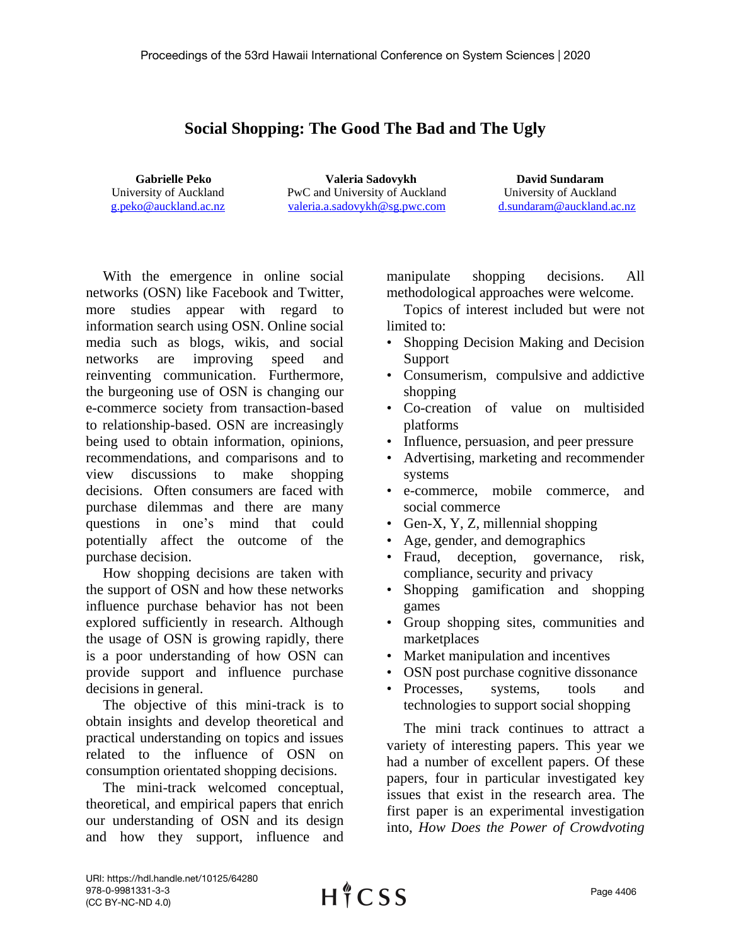## **Social Shopping: The Good The Bad and The Ugly**

**Gabrielle Peko** University of Auckland [g.peko@auckland.ac.nz](mailto:g.peko@auckland.ac.nz)

**Valeria Sadovykh**  PwC and University of Auckland [valeria.a.sadovykh@sg.pwc.com](mailto:valeria.a.sadovykh@sg.pwc.com)

**David Sundaram** University of Auckland [d.sundaram@auckland.ac.nz](mailto:d.sundaram@auckland.ac.nz)

With the emergence in online social networks (OSN) like Facebook and Twitter, more studies appear with regard to information search using OSN. Online social media such as blogs, wikis, and social networks are improving speed and reinventing communication. Furthermore, the burgeoning use of OSN is changing our e-commerce society from transaction-based to relationship-based. OSN are increasingly being used to obtain information, opinions, recommendations, and comparisons and to view discussions to make shopping decisions. Often consumers are faced with purchase dilemmas and there are many questions in one's mind that could potentially affect the outcome of the purchase decision.

How shopping decisions are taken with the support of OSN and how these networks influence purchase behavior has not been explored sufficiently in research. Although the usage of OSN is growing rapidly, there is a poor understanding of how OSN can provide support and influence purchase decisions in general.

The objective of this mini-track is to obtain insights and develop theoretical and practical understanding on topics and issues related to the influence of OSN on consumption orientated shopping decisions.

The mini-track welcomed conceptual, theoretical, and empirical papers that enrich our understanding of OSN and its design and how they support, influence and

manipulate shopping decisions. All methodological approaches were welcome.

Topics of interest included but were not limited to:

- Shopping Decision Making and Decision Support
- Consumerism, compulsive and addictive shopping
- Co-creation of value on multisided platforms
- Influence, persuasion, and peer pressure
- Advertising, marketing and recommender systems
- e-commerce, mobile commerce, and social commerce
- Gen-X, Y, Z, millennial shopping
- Age, gender, and demographics
- Fraud, deception, governance, risk, compliance, security and privacy
- Shopping gamification and shopping games
- Group shopping sites, communities and marketplaces
- Market manipulation and incentives
- OSN post purchase cognitive dissonance
- Processes, systems, tools and technologies to support social shopping

The mini track continues to attract a variety of interesting papers. This year we had a number of excellent papers. Of these papers, four in particular investigated key issues that exist in the research area. The first paper is an experimental investigation into, *How Does the Power of Crowdvoting*